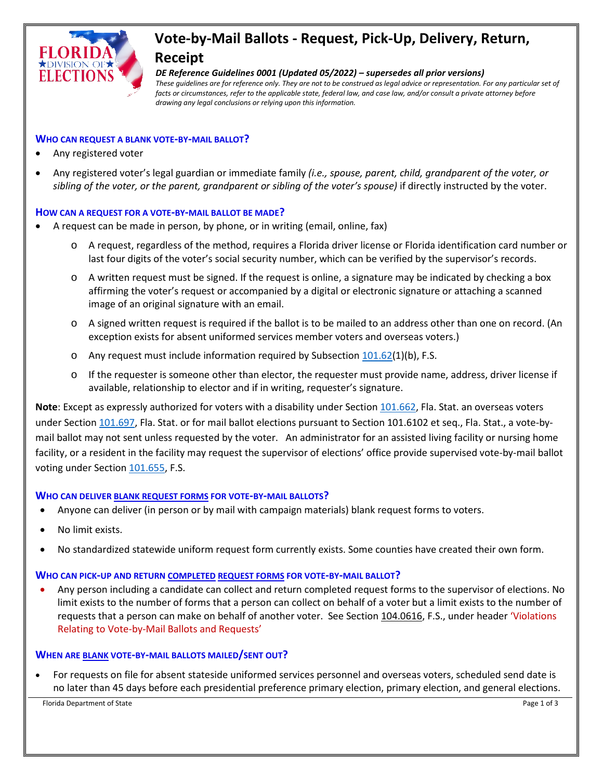

# **Vote-by-Mail Ballots - Request, Pick-Up, Delivery, Return, Receipt**

*DE Reference Guidelines 0001 (Updated 05/2022) – supersedes all prior versions) These guidelines are for reference only. They are not to be construed as legal advice or representation. For any particular set of*  facts or circumstances, refer to the applicable state, federal law, and case law, and/or consult a private attorney before *drawing any legal conclusions or relying upon this information.*

## **WHO CAN REQUEST A BLANK VOTE-BY-MAIL BALLOT?**

- Any registered voter
- Any registered voter's legal guardian or immediate family *(i.e., spouse, parent, child, grandparent of the voter, or sibling of the voter, or the parent, grandparent or sibling of the voter's spouse)* if directly instructed by the voter.

#### **HOW CAN A REQUEST FOR A VOTE-BY-MAIL BALLOT BE MADE?**

- A request can be made in person, by phone, or in writing (email, online, fax)
	- o A request, regardless of the method, requires a Florida driver license or Florida identification card number or last four digits of the voter's social security number, which can be verified by the supervisor's records.
	- $\circ$  A written request must be signed. If the request is online, a signature may be indicated by checking a box affirming the voter's request or accompanied by a digital or electronic signature or attaching a scanned image of an original signature with an email.
	- o A signed written request is required if the ballot is to be mailed to an address other than one on record. (An exception exists for absent uniformed services member voters and overseas voters.)
	- o Any request must include information required by Subsection  $101.62(1)(b)$  $101.62(1)(b)$ , F.S.
	- o If the requester is someone other than elector, the requester must provide name, address, driver license if available, relationship to elector and if in writing, requester's signature.

**Note**: Except as expressly authorized for voters with a disability under Section [101.662,](http://www.leg.state.fl.us/statutes/index.cfm?mode=View%20Statutes&SubMenu=1&App_mode=Display_Statute&Search_String=101.662&URL=0100-0199/0101/Sections/0101.662.html) Fla. Stat. an overseas voters under Section [101.697,](http://www.leg.state.fl.us/statutes/index.cfm?mode=View%20Statutes&SubMenu=1&App_mode=Display_Statute&Search_String=101.697&URL=0100-0199/0101/Sections/0101.697.html) Fla. Stat. or for mail ballot elections pursuant to Section 101.6102 et seq., Fla. Stat., a vote-bymail ballot may not sent unless requested by the voter. An administrator for an assisted living facility or nursing home facility, or a resident in the facility may request the supervisor of elections' office provide supervised vote-by-mail ballot voting under Section [101.655,](http://www.leg.state.fl.us/statutes/index.cfm?mode=View%20Statutes&SubMenu=1&App_mode=Display_Statute&Search_String=101.655&URL=0100-0199/0101/Sections/0101.655.html) F.S.

## **WHO CAN DELIVER BLANK REQUEST FORMS FOR VOTE-BY-MAIL BALLOTS?**

- Anyone can deliver (in person or by mail with campaign materials) blank request forms to voters.
- No limit exists.
- No standardized statewide uniform request form currently exists. Some counties have created their own form.

#### **WHO CAN PICK-UP AND RETURN COMPLETED REQUEST FORMS FOR VOTE-BY-MAIL BALLOT?**

• Any person including a candidate can collect and return completed request forms to the supervisor of elections. No limit exists to the number of forms that a person can collect on behalf of a voter but a limit exists to the number of requests that a person can make on behalf of another voter. See Section [104.0616,](http://www.leg.state.fl.us/statutes/index.cfm?App_mode=Display_Statute&Search_String=&URL=0100-0199/0104/Sections/0104.0616.html) F.S., under header 'Violations Relating to Vote-by-Mail Ballots and Requests'

#### **WHEN ARE BLANK VOTE-BY-MAIL BALLOTS MAILED/SENT OUT?**

• For requests on file for absent stateside uniformed services personnel and overseas voters, scheduled send date is no later than 45 days before each presidential preference primary election, primary election, and general elections.

Florida Department of State **Page 1 of 3** and 2 of 3 and 2 of 3 and 2 of 3 and 2 of 3 and 2 of 3 and 2 of 3 and 2 of 3 and 2 of 3 and 2 of 3 and 2 of 3 and 2 of 3 and 2 of 3 and 2 of 3 and 2 of 3 and 2 of 3 and 2 of 3 and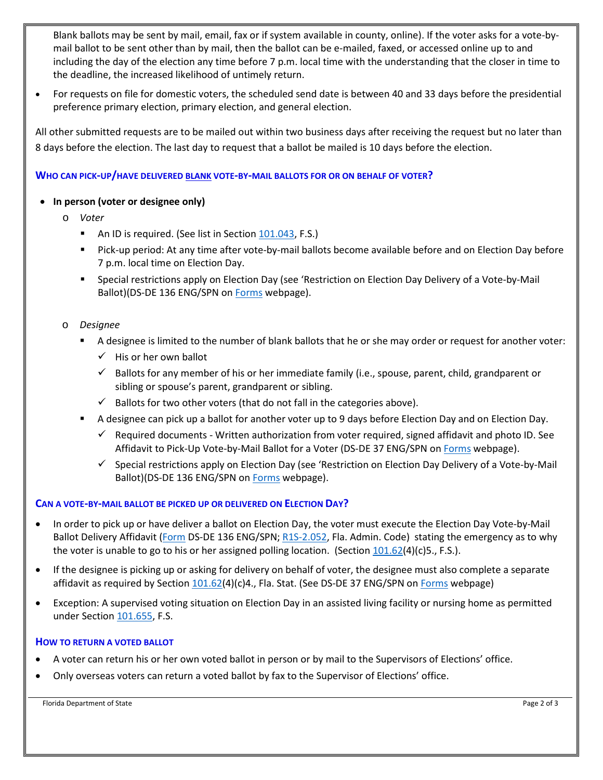Blank ballots may be sent by mail, email, fax or if system available in county, online). If the voter asks for a vote-bymail ballot to be sent other than by mail, then the ballot can be e-mailed, faxed, or accessed online up to and including the day of the election any time before 7 p.m. local time with the understanding that the closer in time to the deadline, the increased likelihood of untimely return.

• For requests on file for domestic voters, the scheduled send date is between 40 and 33 days before the presidential preference primary election, primary election, and general election.

All other submitted requests are to be mailed out within two business days after receiving the request but no later than 8 days before the election. The last day to request that a ballot be mailed is 10 days before the election.

# **WHO CAN PICK-UP/HAVE DELIVERED BLANK VOTE-BY-MAIL BALLOTS FOR OR ON BEHALF OF VOTER?**

# • **In person (voter or designee only)**

- o *Voter* 
	- An ID is required. (See list in Sectio[n 101.043,](http://www.leg.state.fl.us/statutes/index.cfm?mode=View%20Statutes&SubMenu=1&App_mode=Display_Statute&Search_String=101.043&URL=0100-0199/0101/Sections/0101.043.html) F.S.)
	- Pick-up period: At any time after vote-by-mail ballots become available before and on Election Day before 7 p.m. local time on Election Day.
	- **Special restrictions apply on Election Day (see 'Restriction on Election Day Delivery of a Vote-by-Mail** Ballot)(DS-DE 136 ENG/SPN on [Forms](https://dos.myflorida.com/elections/forms-publications/forms/) webpage).
- o *Designee* 
	- A designee is limited to the number of blank ballots that he or she may order or request for another voter:
		- $\checkmark$  His or her own ballot
		- $\checkmark$  Ballots for any member of his or her immediate family (i.e., spouse, parent, child, grandparent or sibling or spouse's parent, grandparent or sibling.
		- $\checkmark$  Ballots for two other voters (that do not fall in the categories above).
	- A designee can pick up a ballot for another voter up to 9 days before Election Day and on Election Day.
		- $\checkmark$  Required documents Written authorization from voter required, signed affidavit and photo ID. See Affidavit to Pick-Up Vote-by-Mail Ballot for a Voter (DS-DE 37 ENG/SPN o[n Forms](https://dos.myflorida.com/elections/forms-publications/forms/) webpage).
		- $\checkmark$  Special restrictions apply on Election Day (see 'Restriction on Election Day Delivery of a Vote-by-Mail Ballot)(DS-DE 136 ENG/SPN o[n Forms](https://dos.myflorida.com/elections/forms-publications/forms/) webpage).

## **CAN A VOTE-BY-MAIL BALLOT BE PICKED UP OR DELIVERED ON ELECTION DAY?**

- In order to pick up or have deliver a ballot on Election Day, the voter must execute the Election Day Vote-by-Mail Ballot Delivery Affidavit [\(Form](https://dos.myflorida.com/elections/forms-publications/forms/) DS-DE 136 ENG/SPN; [R1S-2.052,](https://www.flrules.org/gateway/reference.asp?No=Ref-03509) Fla. Admin. Code) stating the emergency as to why the voter is unable to go to his or her assigned polling location. (Section  $101.62(4)(c)5$ ., F.S.).
- If the designee is picking up or asking for delivery on behalf of voter, the designee must also complete a separate affidavit as required by Section [101.62\(](http://www.leg.state.fl.us/statutes/index.cfm?mode=View%20Statutes&SubMenu=1&App_mode=Display_Statute&Search_String=101.62&URL=0100-0199/0101/Sections/0101.62.html)4)(c)4., Fla. Stat. (See DS-DE 37 ENG/SPN on [Forms](https://dos.myflorida.com/elections/forms-publications/forms/) webpage)
- Exception: A supervised voting situation on Election Day in an assisted living facility or nursing home as permitted under Sectio[n 101.655,](http://www.leg.state.fl.us/statutes/index.cfm?mode=View%20Statutes&SubMenu=1&App_mode=Display_Statute&Search_String=101.655&URL=0100-0199/0101/Sections/0101.655.html) F.S.

## **HOW TO RETURN A VOTED BALLOT**

- A voter can return his or her own voted ballot in person or by mail to the Supervisors of Elections' office.
- Only overseas voters can return a voted ballot by fax to the Supervisor of Elections' office.